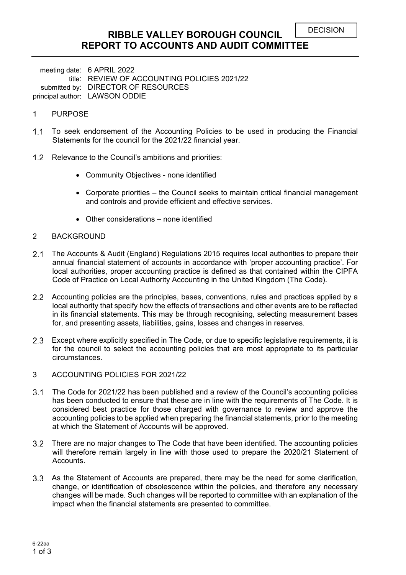# **RIBBLE VALLEY BOROUGH COUNCIL REPORT TO ACCOUNTS AND AUDIT COMMITTEE**

meeting date: 6 APRIL 2022 title: REVIEW OF ACCOUNTING POLICIES 2021/22 submitted by: DIRECTOR OF RESOURCES principal author: LAWSON ODDIE

# 1 PURPOSE

- 1.1 To seek endorsement of the Accounting Policies to be used in producing the Financial Statements for the council for the 2021/22 financial year.
- 1.2 Relevance to the Council's ambitions and priorities:
	- Community Objectives none identified
	- Corporate priorities the Council seeks to maintain critical financial management and controls and provide efficient and effective services.
	- Other considerations none identified

#### 2 BACKGROUND

- The Accounts & Audit (England) Regulations 2015 requires local authorities to prepare their annual financial statement of accounts in accordance with 'proper accounting practice'. For local authorities, proper accounting practice is defined as that contained within the CIPFA Code of Practice on Local Authority Accounting in the United Kingdom (The Code).
- 2.2 Accounting policies are the principles, bases, conventions, rules and practices applied by a local authority that specify how the effects of transactions and other events are to be reflected in its financial statements. This may be through recognising, selecting measurement bases for, and presenting assets, liabilities, gains, losses and changes in reserves.
- 2.3 Except where explicitly specified in The Code, or due to specific legislative requirements, it is for the council to select the accounting policies that are most appropriate to its particular circumstances.
- 3 ACCOUNTING POLICIES FOR 2021/22
- The Code for 2021/22 has been published and a review of the Council's accounting policies has been conducted to ensure that these are in line with the requirements of The Code. It is considered best practice for those charged with governance to review and approve the accounting policies to be applied when preparing the financial statements, prior to the meeting at which the Statement of Accounts will be approved.
- There are no major changes to The Code that have been identified. The accounting policies will therefore remain largely in line with those used to prepare the 2020/21 Statement of **Accounts**
- As the Statement of Accounts are prepared, there may be the need for some clarification, change, or identification of obsolescence within the policies, and therefore any necessary changes will be made. Such changes will be reported to committee with an explanation of the impact when the financial statements are presented to committee.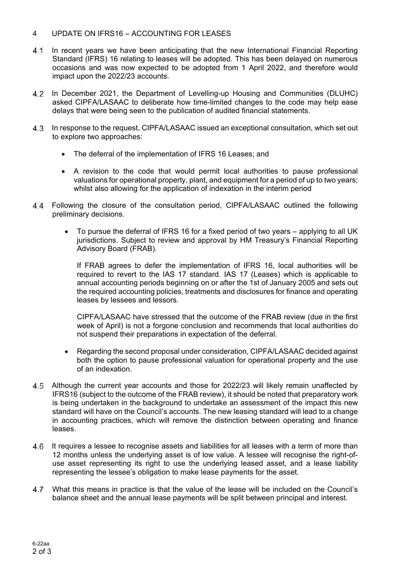# 4 UPDATE ON IFRS16 – ACCOUNTING FOR LEASES

- In recent years we have been anticipating that the new International Financial Reporting Standard (IFRS) 16 relating to leases will be adopted. This has been delayed on numerous occasions and was now expected to be adopted from 1 April 2022, and therefore would impact upon the 2022/23 accounts.
- In December 2021, the Department of Levelling-up Housing and Communities (DLUHC) asked CIPFA/LASAAC to deliberate how time-limited changes to the code may help ease delays that were being seen to the publication of audited financial statements.
- 4.3 In response to the request, CIPFA/LASAAC issued an exceptional consultation, which set out to explore two approaches:
	- The deferral of the implementation of IFRS 16 Leases; and
	- A revision to the code that would permit local authorities to pause professional valuations for operational property, plant, and equipment for a period of up to two years; whilst also allowing for the application of indexation in the interim period
- Following the closure of the consultation period, CIPFA/LASAAC outlined the following preliminary decisions.
	- To pursue the deferral of IFRS 16 for a fixed period of two years applying to all UK jurisdictions. Subject to review and approval by HM Treasury's Financial Reporting Advisory Board (FRAB).

If FRAB agrees to defer the implementation of IFRS 16, local authorities will be required to revert to the IAS 17 standard. IAS 17 (Leases) which is applicable to annual accounting periods beginning on or after the 1st of January 2005 and sets out the required accounting policies, treatments and disclosures for finance and operating leases by lessees and lessors.

CIPFA/LASAAC have stressed that the outcome of the FRAB review (due in the first week of April) is not a forgone conclusion and recommends that local authorities do not suspend their preparations in expectation of the deferral.

- Regarding the second proposal under consideration, CIPFA/LASAAC decided against both the option to pause professional valuation for operational property and the use of an indexation.
- Although the current year accounts and those for 2022/23 will likely remain unaffected by IFRS16 (subject to the outcome of the FRAB review), it should be noted that preparatory work is being undertaken in the background to undertake an assessment of the impact this new standard will have on the Council's accounts. The new leasing standard will lead to a change in accounting practices, which will remove the distinction between operating and finance leases.
- It requires a lessee to recognise assets and liabilities for all leases with a term of more than 12 months unless the underlying asset is of low value. A lessee will recognise the right-ofuse asset representing its right to use the underlying leased asset, and a lease liability representing the lessee's obligation to make lease payments for the asset.
- What this means in practice is that the value of the lease will be included on the Council's balance sheet and the annual lease payments will be split between principal and interest.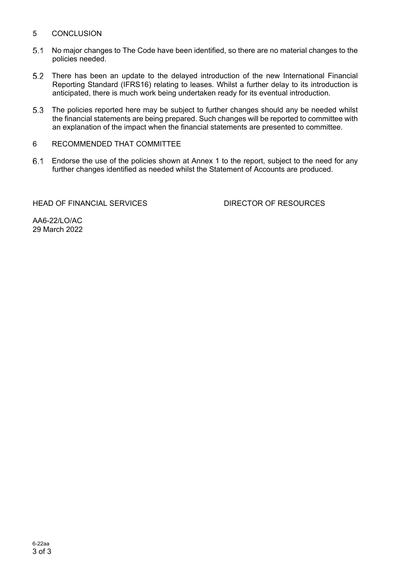# 5 CONCLUSION

- No major changes to The Code have been identified, so there are no material changes to the policies needed.
- There has been an update to the delayed introduction of the new International Financial Reporting Standard (IFRS16) relating to leases. Whilst a further delay to its introduction is anticipated, there is much work being undertaken ready for its eventual introduction.
- The policies reported here may be subject to further changes should any be needed whilst the financial statements are being prepared. Such changes will be reported to committee with an explanation of the impact when the financial statements are presented to committee.
- 6 RECOMMENDED THAT COMMITTEE
- Endorse the use of the policies shown at Annex 1 to the report, subject to the need for any further changes identified as needed whilst the Statement of Accounts are produced.

HEAD OF FINANCIAL SERVICES DIRECTOR OF RESOURCES

AA6-22/LO/AC 29 March 2022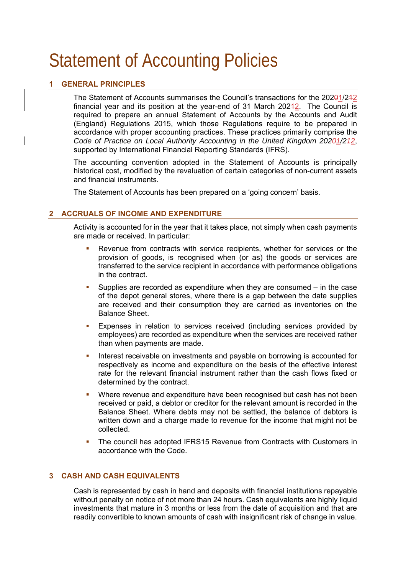# Statement of Accounting Policies

# **1 GENERAL PRINCIPLES**

The Statement of Accounts summarises the Council's transactions for the 20201/212 financial year and its position at the year-end of 31 March  $20242$ . The Council is required to prepare an annual Statement of Accounts by the Accounts and Audit (England) Regulations 2015, which those Regulations require to be prepared in accordance with proper accounting practices. These practices primarily comprise the *Code of Practice on Local Authority Accounting in the United Kingdom 20201/212*, supported by International Financial Reporting Standards (IFRS).

The accounting convention adopted in the Statement of Accounts is principally historical cost, modified by the revaluation of certain categories of non-current assets and financial instruments.

The Statement of Accounts has been prepared on a 'going concern' basis.

# **2 ACCRUALS OF INCOME AND EXPENDITURE**

Activity is accounted for in the year that it takes place, not simply when cash payments are made or received. In particular:

- Revenue from contracts with service recipients, whether for services or the provision of goods, is recognised when (or as) the goods or services are transferred to the service recipient in accordance with performance obligations in the contract.
- Supplies are recorded as expenditure when they are consumed in the case of the depot general stores, where there is a gap between the date supplies are received and their consumption they are carried as inventories on the Balance Sheet.
- Expenses in relation to services received (including services provided by employees) are recorded as expenditure when the services are received rather than when payments are made.
- Interest receivable on investments and payable on borrowing is accounted for respectively as income and expenditure on the basis of the effective interest rate for the relevant financial instrument rather than the cash flows fixed or determined by the contract.
- Where revenue and expenditure have been recognised but cash has not been received or paid, a debtor or creditor for the relevant amount is recorded in the Balance Sheet. Where debts may not be settled, the balance of debtors is written down and a charge made to revenue for the income that might not be collected.
- The council has adopted IFRS15 Revenue from Contracts with Customers in accordance with the Code.

# **3 CASH AND CASH EQUIVALENTS**

Cash is represented by cash in hand and deposits with financial institutions repayable without penalty on notice of not more than 24 hours. Cash equivalents are highly liquid investments that mature in 3 months or less from the date of acquisition and that are readily convertible to known amounts of cash with insignificant risk of change in value.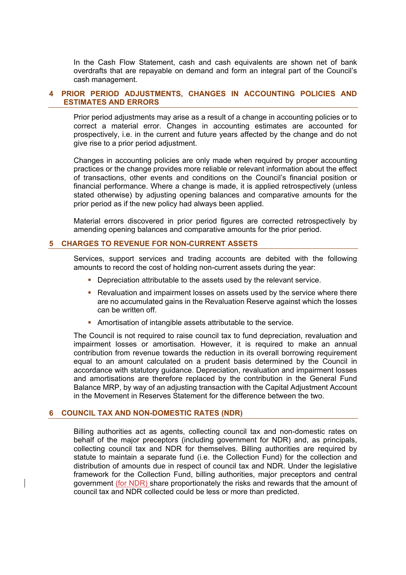In the Cash Flow Statement, cash and cash equivalents are shown net of bank overdrafts that are repayable on demand and form an integral part of the Council's cash management.

# **4 PRIOR PERIOD ADJUSTMENTS, CHANGES IN ACCOUNTING POLICIES AND ESTIMATES AND ERRORS**

Prior period adjustments may arise as a result of a change in accounting policies or to correct a material error. Changes in accounting estimates are accounted for prospectively, i.e. in the current and future years affected by the change and do not give rise to a prior period adjustment.

Changes in accounting policies are only made when required by proper accounting practices or the change provides more reliable or relevant information about the effect of transactions, other events and conditions on the Council's financial position or financial performance. Where a change is made, it is applied retrospectively (unless stated otherwise) by adjusting opening balances and comparative amounts for the prior period as if the new policy had always been applied.

Material errors discovered in prior period figures are corrected retrospectively by amending opening balances and comparative amounts for the prior period.

# **5 CHARGES TO REVENUE FOR NON-CURRENT ASSETS**

Services, support services and trading accounts are debited with the following amounts to record the cost of holding non-current assets during the year:

- **Depreciation attributable to the assets used by the relevant service.**
- **Revaluation and impairment losses on assets used by the service where there** are no accumulated gains in the Revaluation Reserve against which the losses can be written off.
- Amortisation of intangible assets attributable to the service.

The Council is not required to raise council tax to fund depreciation, revaluation and impairment losses or amortisation. However, it is required to make an annual contribution from revenue towards the reduction in its overall borrowing requirement equal to an amount calculated on a prudent basis determined by the Council in accordance with statutory guidance. Depreciation, revaluation and impairment losses and amortisations are therefore replaced by the contribution in the General Fund Balance MRP, by way of an adjusting transaction with the Capital Adjustment Account in the Movement in Reserves Statement for the difference between the two.

#### **6 COUNCIL TAX AND NON-DOMESTIC RATES (NDR)**

Billing authorities act as agents, collecting council tax and non-domestic rates on behalf of the major preceptors (including government for NDR) and, as principals, collecting council tax and NDR for themselves. Billing authorities are required by statute to maintain a separate fund (i.e. the Collection Fund) for the collection and distribution of amounts due in respect of council tax and NDR. Under the legislative framework for the Collection Fund, billing authorities, major preceptors and central government (for NDR) share proportionately the risks and rewards that the amount of council tax and NDR collected could be less or more than predicted.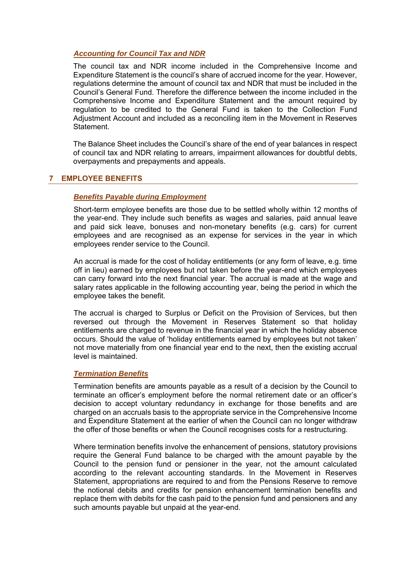# *Accounting for Council Tax and NDR*

The council tax and NDR income included in the Comprehensive Income and Expenditure Statement is the council's share of accrued income for the year. However, regulations determine the amount of council tax and NDR that must be included in the Council's General Fund. Therefore the difference between the income included in the Comprehensive Income and Expenditure Statement and the amount required by regulation to be credited to the General Fund is taken to the Collection Fund Adjustment Account and included as a reconciling item in the Movement in Reserves Statement.

The Balance Sheet includes the Council's share of the end of year balances in respect of council tax and NDR relating to arrears, impairment allowances for doubtful debts, overpayments and prepayments and appeals.

# **7 EMPLOYEE BENEFITS**

# *Benefits Payable during Employment*

Short-term employee benefits are those due to be settled wholly within 12 months of the year-end. They include such benefits as wages and salaries, paid annual leave and paid sick leave, bonuses and non-monetary benefits (e.g. cars) for current employees and are recognised as an expense for services in the year in which employees render service to the Council.

An accrual is made for the cost of holiday entitlements (or any form of leave, e.g. time off in lieu) earned by employees but not taken before the year-end which employees can carry forward into the next financial year. The accrual is made at the wage and salary rates applicable in the following accounting year, being the period in which the employee takes the benefit.

The accrual is charged to Surplus or Deficit on the Provision of Services, but then reversed out through the Movement in Reserves Statement so that holiday entitlements are charged to revenue in the financial year in which the holiday absence occurs. Should the value of 'holiday entitlements earned by employees but not taken' not move materially from one financial year end to the next, then the existing accrual level is maintained.

#### *Termination Benefits*

Termination benefits are amounts payable as a result of a decision by the Council to terminate an officer's employment before the normal retirement date or an officer's decision to accept voluntary redundancy in exchange for those benefits and are charged on an accruals basis to the appropriate service in the Comprehensive Income and Expenditure Statement at the earlier of when the Council can no longer withdraw the offer of those benefits or when the Council recognises costs for a restructuring.

Where termination benefits involve the enhancement of pensions, statutory provisions require the General Fund balance to be charged with the amount payable by the Council to the pension fund or pensioner in the year, not the amount calculated according to the relevant accounting standards. In the Movement in Reserves Statement, appropriations are required to and from the Pensions Reserve to remove the notional debits and credits for pension enhancement termination benefits and replace them with debits for the cash paid to the pension fund and pensioners and any such amounts payable but unpaid at the year-end.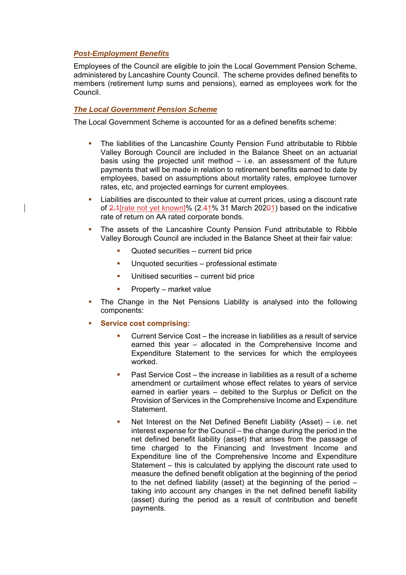# *Post-Employment Benefits*

Employees of the Council are eligible to join the Local Government Pension Scheme, administered by Lancashire County Council. The scheme provides defined benefits to members (retirement lump sums and pensions), earned as employees work for the Council.

# *The Local Government Pension Scheme*

The Local Government Scheme is accounted for as a defined benefits scheme:

- The liabilities of the Lancashire County Pension Fund attributable to Ribble Valley Borough Council are included in the Balance Sheet on an actuarial basis using the projected unit method  $-$  i.e. an assessment of the future payments that will be made in relation to retirement benefits earned to date by employees, based on assumptions about mortality rates, employee turnover rates, etc, and projected earnings for current employees.
- Liabilities are discounted to their value at current prices, using a discount rate of 2.1[rate not yet known]% (2.41% 31 March 20201) based on the indicative rate of return on AA rated corporate bonds.
- The assets of the Lancashire County Pension Fund attributable to Ribble Valley Borough Council are included in the Balance Sheet at their fair value:
	- Quoted securities current bid price
	- **Unquoted securities professional estimate**
	- Unitised securities current bid price
	- Property market value
- The Change in the Net Pensions Liability is analysed into the following components:
- **Service cost comprising:** 
	- Current Service Cost the increase in liabilities as a result of service earned this year – allocated in the Comprehensive Income and Expenditure Statement to the services for which the employees worked.
	- Past Service Cost the increase in liabilities as a result of a scheme amendment or curtailment whose effect relates to years of service earned in earlier years – debited to the Surplus or Deficit on the Provision of Services in the Comprehensive Income and Expenditure Statement.
	- Net Interest on the Net Defined Benefit Liability (Asset) i.e. net interest expense for the Council – the change during the period in the net defined benefit liability (asset) that arises from the passage of time charged to the Financing and Investment Income and Expenditure line of the Comprehensive Income and Expenditure Statement – this is calculated by applying the discount rate used to measure the defined benefit obligation at the beginning of the period to the net defined liability (asset) at the beginning of the period – taking into account any changes in the net defined benefit liability (asset) during the period as a result of contribution and benefit payments.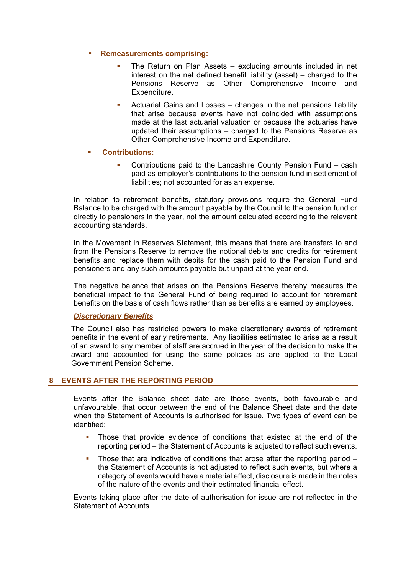# **Remeasurements comprising:**

- The Return on Plan Assets excluding amounts included in net interest on the net defined benefit liability (asset) – charged to the Pensions Reserve as Other Comprehensive Income and Expenditure.
- Actuarial Gains and Losses changes in the net pensions liability that arise because events have not coincided with assumptions made at the last actuarial valuation or because the actuaries have updated their assumptions – charged to the Pensions Reserve as Other Comprehensive Income and Expenditure.

# **Contributions:**

 Contributions paid to the Lancashire County Pension Fund – cash paid as employer's contributions to the pension fund in settlement of liabilities; not accounted for as an expense.

In relation to retirement benefits, statutory provisions require the General Fund Balance to be charged with the amount payable by the Council to the pension fund or directly to pensioners in the year, not the amount calculated according to the relevant accounting standards.

In the Movement in Reserves Statement, this means that there are transfers to and from the Pensions Reserve to remove the notional debits and credits for retirement benefits and replace them with debits for the cash paid to the Pension Fund and pensioners and any such amounts payable but unpaid at the year-end.

The negative balance that arises on the Pensions Reserve thereby measures the beneficial impact to the General Fund of being required to account for retirement benefits on the basis of cash flows rather than as benefits are earned by employees.

# *Discretionary Benefits*

The Council also has restricted powers to make discretionary awards of retirement benefits in the event of early retirements. Any liabilities estimated to arise as a result of an award to any member of staff are accrued in the year of the decision to make the award and accounted for using the same policies as are applied to the Local Government Pension Scheme.

# **8 EVENTS AFTER THE REPORTING PERIOD**

Events after the Balance sheet date are those events, both favourable and unfavourable, that occur between the end of the Balance Sheet date and the date when the Statement of Accounts is authorised for issue. Two types of event can be identified:

- Those that provide evidence of conditions that existed at the end of the reporting period – the Statement of Accounts is adjusted to reflect such events.
- Those that are indicative of conditions that arose after the reporting period the Statement of Accounts is not adjusted to reflect such events, but where a category of events would have a material effect, disclosure is made in the notes of the nature of the events and their estimated financial effect.

Events taking place after the date of authorisation for issue are not reflected in the Statement of Accounts.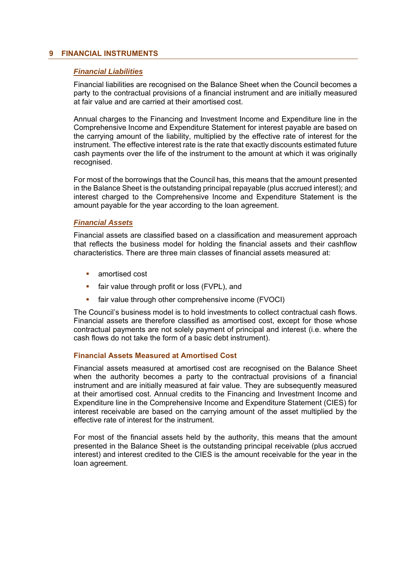# **9 FINANCIAL INSTRUMENTS**

#### *Financial Liabilities*

Financial liabilities are recognised on the Balance Sheet when the Council becomes a party to the contractual provisions of a financial instrument and are initially measured at fair value and are carried at their amortised cost.

Annual charges to the Financing and Investment Income and Expenditure line in the Comprehensive Income and Expenditure Statement for interest payable are based on the carrying amount of the liability, multiplied by the effective rate of interest for the instrument. The effective interest rate is the rate that exactly discounts estimated future cash payments over the life of the instrument to the amount at which it was originally recognised.

For most of the borrowings that the Council has, this means that the amount presented in the Balance Sheet is the outstanding principal repayable (plus accrued interest); and interest charged to the Comprehensive Income and Expenditure Statement is the amount payable for the year according to the loan agreement.

#### *Financial Assets*

Financial assets are classified based on a classification and measurement approach that reflects the business model for holding the financial assets and their cashflow characteristics. There are three main classes of financial assets measured at:

- amortised cost
- fair value through profit or loss (FVPL), and
- fair value through other comprehensive income (FVOCI)

The Council's business model is to hold investments to collect contractual cash flows. Financial assets are therefore classified as amortised cost, except for those whose contractual payments are not solely payment of principal and interest (i.e. where the cash flows do not take the form of a basic debt instrument).

# **Financial Assets Measured at Amortised Cost**

Financial assets measured at amortised cost are recognised on the Balance Sheet when the authority becomes a party to the contractual provisions of a financial instrument and are initially measured at fair value. They are subsequently measured at their amortised cost. Annual credits to the Financing and Investment Income and Expenditure line in the Comprehensive Income and Expenditure Statement (CIES) for interest receivable are based on the carrying amount of the asset multiplied by the effective rate of interest for the instrument.

For most of the financial assets held by the authority, this means that the amount presented in the Balance Sheet is the outstanding principal receivable (plus accrued interest) and interest credited to the CIES is the amount receivable for the year in the loan agreement.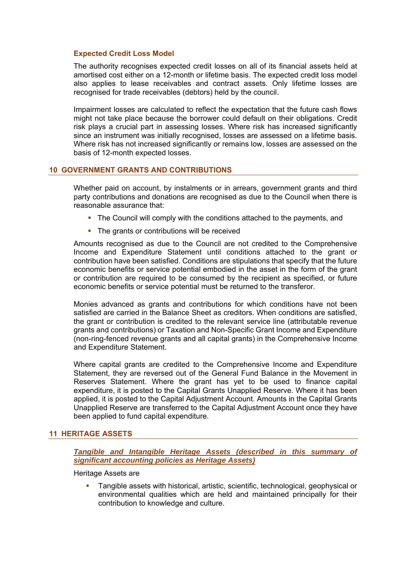# **Expected Credit Loss Model**

The authority recognises expected credit losses on all of its financial assets held at amortised cost either on a 12-month or lifetime basis. The expected credit loss model also applies to lease receivables and contract assets. Only lifetime losses are recognised for trade receivables (debtors) held by the council.

Impairment losses are calculated to reflect the expectation that the future cash flows might not take place because the borrower could default on their obligations. Credit risk plays a crucial part in assessing losses. Where risk has increased significantly since an instrument was initially recognised, losses are assessed on a lifetime basis. Where risk has not increased significantly or remains low, losses are assessed on the basis of 12-month expected losses.

# **10 GOVERNMENT GRANTS AND CONTRIBUTIONS**

Whether paid on account, by instalments or in arrears, government grants and third party contributions and donations are recognised as due to the Council when there is reasonable assurance that:

- The Council will comply with the conditions attached to the payments, and
- The grants or contributions will be received

Amounts recognised as due to the Council are not credited to the Comprehensive Income and Expenditure Statement until conditions attached to the grant or contribution have been satisfied. Conditions are stipulations that specify that the future economic benefits or service potential embodied in the asset in the form of the grant or contribution are required to be consumed by the recipient as specified, or future economic benefits or service potential must be returned to the transferor.

Monies advanced as grants and contributions for which conditions have not been satisfied are carried in the Balance Sheet as creditors. When conditions are satisfied, the grant or contribution is credited to the relevant service line (attributable revenue grants and contributions) or Taxation and Non-Specific Grant Income and Expenditure (non-ring-fenced revenue grants and all capital grants) in the Comprehensive Income and Expenditure Statement.

Where capital grants are credited to the Comprehensive Income and Expenditure Statement, they are reversed out of the General Fund Balance in the Movement in Reserves Statement. Where the grant has yet to be used to finance capital expenditure, it is posted to the Capital Grants Unapplied Reserve. Where it has been applied, it is posted to the Capital Adjustment Account. Amounts in the Capital Grants Unapplied Reserve are transferred to the Capital Adjustment Account once they have been applied to fund capital expenditure.

# **11 HERITAGE ASSETS**

*Tangible and Intangible Heritage Assets (described in this summary of significant accounting policies as Heritage Assets)* 

Heritage Assets are

 Tangible assets with historical, artistic, scientific, technological, geophysical or environmental qualities which are held and maintained principally for their contribution to knowledge and culture.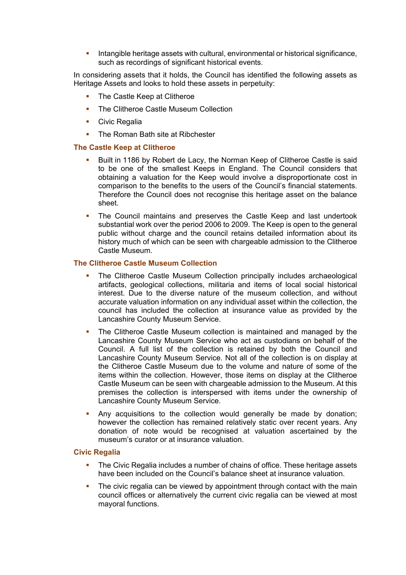Intangible heritage assets with cultural, environmental or historical significance, such as recordings of significant historical events.

In considering assets that it holds, the Council has identified the following assets as Heritage Assets and looks to hold these assets in perpetuity:

- The Castle Keep at Clitheroe
- The Clitheroe Castle Museum Collection
- **Civic Regalia**
- The Roman Bath site at Ribchester

#### **The Castle Keep at Clitheroe**

- Built in 1186 by Robert de Lacy, the Norman Keep of Clitheroe Castle is said to be one of the smallest Keeps in England. The Council considers that obtaining a valuation for the Keep would involve a disproportionate cost in comparison to the benefits to the users of the Council's financial statements. Therefore the Council does not recognise this heritage asset on the balance sheet.
- The Council maintains and preserves the Castle Keep and last undertook substantial work over the period 2006 to 2009. The Keep is open to the general public without charge and the council retains detailed information about its history much of which can be seen with chargeable admission to the Clitheroe Castle Museum.

#### **The Clitheroe Castle Museum Collection**

- The Clitheroe Castle Museum Collection principally includes archaeological artifacts, geological collections, militaria and items of local social historical interest. Due to the diverse nature of the museum collection, and without accurate valuation information on any individual asset within the collection, the council has included the collection at insurance value as provided by the Lancashire County Museum Service.
- The Clitheroe Castle Museum collection is maintained and managed by the Lancashire County Museum Service who act as custodians on behalf of the Council. A full list of the collection is retained by both the Council and Lancashire County Museum Service. Not all of the collection is on display at the Clitheroe Castle Museum due to the volume and nature of some of the items within the collection. However, those items on display at the Clitheroe Castle Museum can be seen with chargeable admission to the Museum. At this premises the collection is interspersed with items under the ownership of Lancashire County Museum Service.
- Any acquisitions to the collection would generally be made by donation; however the collection has remained relatively static over recent years. Any donation of note would be recognised at valuation ascertained by the museum's curator or at insurance valuation.

## **Civic Regalia**

- The Civic Regalia includes a number of chains of office. These heritage assets have been included on the Council's balance sheet at insurance valuation.
- The civic regalia can be viewed by appointment through contact with the main council offices or alternatively the current civic regalia can be viewed at most mayoral functions.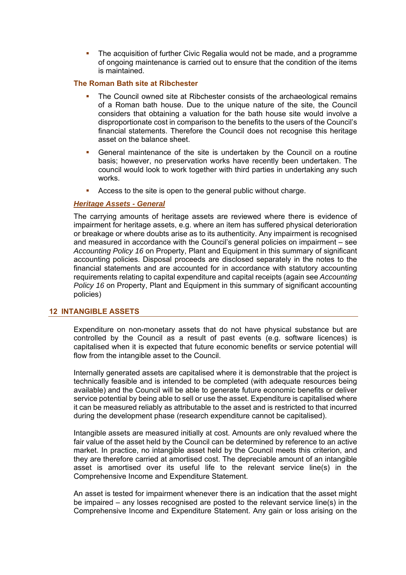The acquisition of further Civic Regalia would not be made, and a programme of ongoing maintenance is carried out to ensure that the condition of the items is maintained.

# **The Roman Bath site at Ribchester**

- The Council owned site at Ribchester consists of the archaeological remains of a Roman bath house. Due to the unique nature of the site, the Council considers that obtaining a valuation for the bath house site would involve a disproportionate cost in comparison to the benefits to the users of the Council's financial statements. Therefore the Council does not recognise this heritage asset on the balance sheet.
- General maintenance of the site is undertaken by the Council on a routine basis; however, no preservation works have recently been undertaken. The council would look to work together with third parties in undertaking any such works.
- Access to the site is open to the general public without charge.

# *Heritage Assets - General*

The carrying amounts of heritage assets are reviewed where there is evidence of impairment for heritage assets, e.g. where an item has suffered physical deterioration or breakage or where doubts arise as to its authenticity. Any impairment is recognised and measured in accordance with the Council's general policies on impairment – see *Accounting Policy 16* on Property, Plant and Equipment in this summary of significant accounting policies. Disposal proceeds are disclosed separately in the notes to the financial statements and are accounted for in accordance with statutory accounting requirements relating to capital expenditure and capital receipts (again see *Accounting Policy 16* on Property, Plant and Equipment in this summary of significant accounting policies)

# **12 INTANGIBLE ASSETS**

Expenditure on non-monetary assets that do not have physical substance but are controlled by the Council as a result of past events (e.g. software licences) is capitalised when it is expected that future economic benefits or service potential will flow from the intangible asset to the Council.

Internally generated assets are capitalised where it is demonstrable that the project is technically feasible and is intended to be completed (with adequate resources being available) and the Council will be able to generate future economic benefits or deliver service potential by being able to sell or use the asset. Expenditure is capitalised where it can be measured reliably as attributable to the asset and is restricted to that incurred during the development phase (research expenditure cannot be capitalised).

Intangible assets are measured initially at cost. Amounts are only revalued where the fair value of the asset held by the Council can be determined by reference to an active market. In practice, no intangible asset held by the Council meets this criterion, and they are therefore carried at amortised cost. The depreciable amount of an intangible asset is amortised over its useful life to the relevant service line(s) in the Comprehensive Income and Expenditure Statement.

An asset is tested for impairment whenever there is an indication that the asset might be impaired – any losses recognised are posted to the relevant service line(s) in the Comprehensive Income and Expenditure Statement. Any gain or loss arising on the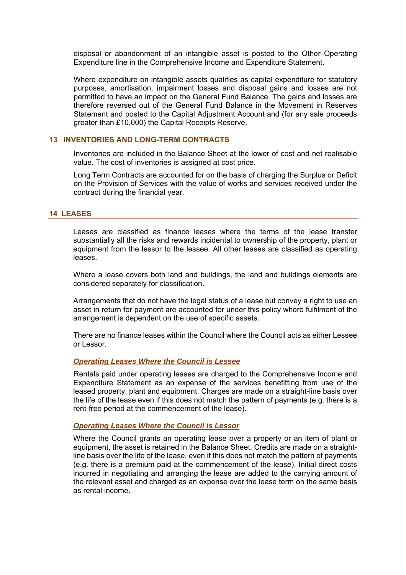disposal or abandonment of an intangible asset is posted to the Other Operating Expenditure line in the Comprehensive Income and Expenditure Statement.

Where expenditure on intangible assets qualifies as capital expenditure for statutory purposes, amortisation, impairment losses and disposal gains and losses are not permitted to have an impact on the General Fund Balance. The gains and losses are therefore reversed out of the General Fund Balance in the Movement in Reserves Statement and posted to the Capital Adjustment Account and (for any sale proceeds greater than £10,000) the Capital Receipts Reserve.

#### **13 INVENTORIES AND LONG-TERM CONTRACTS**

Inventories are included in the Balance Sheet at the lower of cost and net realisable value. The cost of inventories is assigned at cost price.

Long Term Contracts are accounted for on the basis of charging the Surplus or Deficit on the Provision of Services with the value of works and services received under the contract during the financial year.

# **14 LEASES**

Leases are classified as finance leases where the terms of the lease transfer substantially all the risks and rewards incidental to ownership of the property, plant or equipment from the lessor to the lessee. All other leases are classified as operating leases.

Where a lease covers both land and buildings, the land and buildings elements are considered separately for classification.

Arrangements that do not have the legal status of a lease but convey a right to use an asset in return for payment are accounted for under this policy where fulfilment of the arrangement is dependent on the use of specific assets.

There are no finance leases within the Council where the Council acts as either Lessee or Lessor.

#### *Operating Leases Where the Council is Lessee*

Rentals paid under operating leases are charged to the Comprehensive Income and Expenditure Statement as an expense of the services benefitting from use of the leased property, plant and equipment. Charges are made on a straight-line basis over the life of the lease even if this does not match the pattern of payments (e.g. there is a rent-free period at the commencement of the lease).

#### *Operating Leases Where the Council is Lessor*

Where the Council grants an operating lease over a property or an item of plant or equipment, the asset is retained in the Balance Sheet. Credits are made on a straightline basis over the life of the lease, even if this does not match the pattern of payments (e.g. there is a premium paid at the commencement of the lease). Initial direct costs incurred in negotiating and arranging the lease are added to the carrying amount of the relevant asset and charged as an expense over the lease term on the same basis as rental income.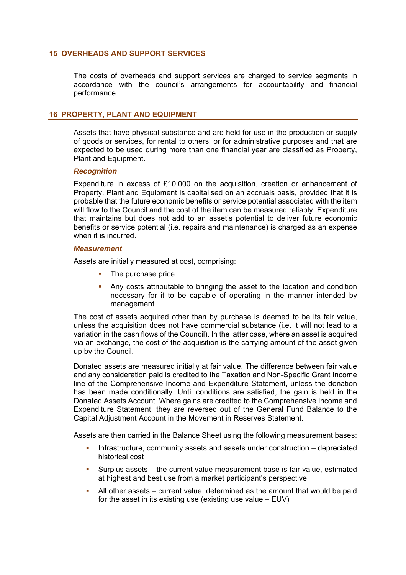# **15 OVERHEADS AND SUPPORT SERVICES**

The costs of overheads and support services are charged to service segments in accordance with the council's arrangements for accountability and financial performance.

# **16 PROPERTY, PLANT AND EQUIPMENT**

Assets that have physical substance and are held for use in the production or supply of goods or services, for rental to others, or for administrative purposes and that are expected to be used during more than one financial year are classified as Property, Plant and Equipment.

#### *Recognition*

Expenditure in excess of £10,000 on the acquisition, creation or enhancement of Property, Plant and Equipment is capitalised on an accruals basis, provided that it is probable that the future economic benefits or service potential associated with the item will flow to the Council and the cost of the item can be measured reliably. Expenditure that maintains but does not add to an asset's potential to deliver future economic benefits or service potential (i.e. repairs and maintenance) is charged as an expense when it is incurred.

#### *Measurement*

Assets are initially measured at cost, comprising:

- The purchase price
- Any costs attributable to bringing the asset to the location and condition necessary for it to be capable of operating in the manner intended by management

The cost of assets acquired other than by purchase is deemed to be its fair value, unless the acquisition does not have commercial substance (i.e. it will not lead to a variation in the cash flows of the Council). In the latter case, where an asset is acquired via an exchange, the cost of the acquisition is the carrying amount of the asset given up by the Council.

Donated assets are measured initially at fair value. The difference between fair value and any consideration paid is credited to the Taxation and Non-Specific Grant Income line of the Comprehensive Income and Expenditure Statement, unless the donation has been made conditionally. Until conditions are satisfied, the gain is held in the Donated Assets Account. Where gains are credited to the Comprehensive Income and Expenditure Statement, they are reversed out of the General Fund Balance to the Capital Adjustment Account in the Movement in Reserves Statement.

Assets are then carried in the Balance Sheet using the following measurement bases:

- Infrastructure, community assets and assets under construction depreciated historical cost
- Surplus assets the current value measurement base is fair value, estimated at highest and best use from a market participant's perspective
- All other assets current value, determined as the amount that would be paid for the asset in its existing use (existing use value – EUV)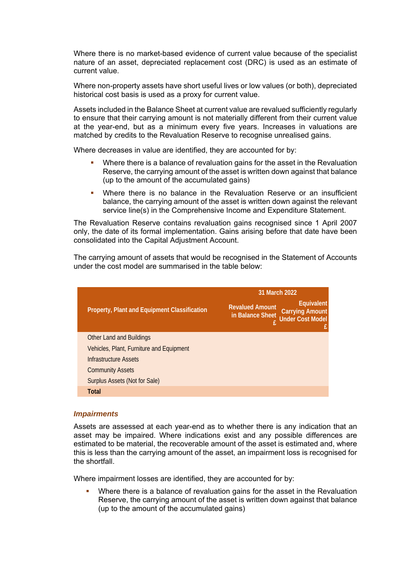Where there is no market-based evidence of current value because of the specialist nature of an asset, depreciated replacement cost (DRC) is used as an estimate of current value.

Where non-property assets have short useful lives or low values (or both), depreciated historical cost basis is used as a proxy for current value.

Assets included in the Balance Sheet at current value are revalued sufficiently regularly to ensure that their carrying amount is not materially different from their current value at the year-end, but as a minimum every five years. Increases in valuations are matched by credits to the Revaluation Reserve to recognise unrealised gains.

Where decreases in value are identified, they are accounted for by:

- Where there is a balance of revaluation gains for the asset in the Revaluation Reserve, the carrying amount of the asset is written down against that balance (up to the amount of the accumulated gains)
- Where there is no balance in the Revaluation Reserve or an insufficient balance, the carrying amount of the asset is written down against the relevant service line(s) in the Comprehensive Income and Expenditure Statement.

The Revaluation Reserve contains revaluation gains recognised since 1 April 2007 only, the date of its formal implementation. Gains arising before that date have been consolidated into the Capital Adjustment Account.

The carrying amount of assets that would be recognised in the Statement of Accounts under the cost model are summarised in the table below:

|                                                     | 31 March 2022                                                                                                 |  |
|-----------------------------------------------------|---------------------------------------------------------------------------------------------------------------|--|
| <b>Property, Plant and Equipment Classification</b> | Equivalent<br><b>Revalued Amount</b><br><b>Carrying Amount</b><br>in Balance Sheet<br><b>Under Cost Model</b> |  |
| <b>Other Land and Buildings</b>                     |                                                                                                               |  |
| Vehicles, Plant, Furniture and Equipment            |                                                                                                               |  |
| Infrastructure Assets                               |                                                                                                               |  |
| <b>Community Assets</b>                             |                                                                                                               |  |
| Surplus Assets (Not for Sale)                       |                                                                                                               |  |
| <b>Total</b>                                        |                                                                                                               |  |

#### *Impairments*

Assets are assessed at each year-end as to whether there is any indication that an asset may be impaired. Where indications exist and any possible differences are estimated to be material, the recoverable amount of the asset is estimated and, where this is less than the carrying amount of the asset, an impairment loss is recognised for the shortfall.

Where impairment losses are identified, they are accounted for by:

 Where there is a balance of revaluation gains for the asset in the Revaluation Reserve, the carrying amount of the asset is written down against that balance (up to the amount of the accumulated gains)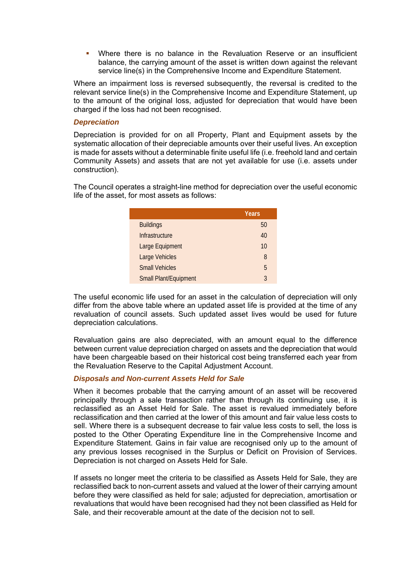Where there is no balance in the Revaluation Reserve or an insufficient balance, the carrying amount of the asset is written down against the relevant service line(s) in the Comprehensive Income and Expenditure Statement.

Where an impairment loss is reversed subsequently, the reversal is credited to the relevant service line(s) in the Comprehensive Income and Expenditure Statement, up to the amount of the original loss, adjusted for depreciation that would have been charged if the loss had not been recognised.

# *Depreciation*

Depreciation is provided for on all Property, Plant and Equipment assets by the systematic allocation of their depreciable amounts over their useful lives. An exception is made for assets without a determinable finite useful life (i.e. freehold land and certain Community Assets) and assets that are not yet available for use (i.e. assets under construction).

The Council operates a straight-line method for depreciation over the useful economic life of the asset, for most assets as follows:

|                              | Years |
|------------------------------|-------|
| <b>Buildings</b>             | 50    |
| Infrastructure               | 40    |
| Large Equipment              | 10    |
| Large Vehicles               | 8     |
| <b>Small Vehicles</b>        | 5     |
| <b>Small Plant/Equipment</b> | 3     |

The useful economic life used for an asset in the calculation of depreciation will only differ from the above table where an updated asset life is provided at the time of any revaluation of council assets. Such updated asset lives would be used for future depreciation calculations.

Revaluation gains are also depreciated, with an amount equal to the difference between current value depreciation charged on assets and the depreciation that would have been chargeable based on their historical cost being transferred each year from the Revaluation Reserve to the Capital Adjustment Account.

# *Disposals and Non-current Assets Held for Sale*

When it becomes probable that the carrying amount of an asset will be recovered principally through a sale transaction rather than through its continuing use, it is reclassified as an Asset Held for Sale. The asset is revalued immediately before reclassification and then carried at the lower of this amount and fair value less costs to sell. Where there is a subsequent decrease to fair value less costs to sell, the loss is posted to the Other Operating Expenditure line in the Comprehensive Income and Expenditure Statement. Gains in fair value are recognised only up to the amount of any previous losses recognised in the Surplus or Deficit on Provision of Services. Depreciation is not charged on Assets Held for Sale.

If assets no longer meet the criteria to be classified as Assets Held for Sale, they are reclassified back to non-current assets and valued at the lower of their carrying amount before they were classified as held for sale; adjusted for depreciation, amortisation or revaluations that would have been recognised had they not been classified as Held for Sale, and their recoverable amount at the date of the decision not to sell.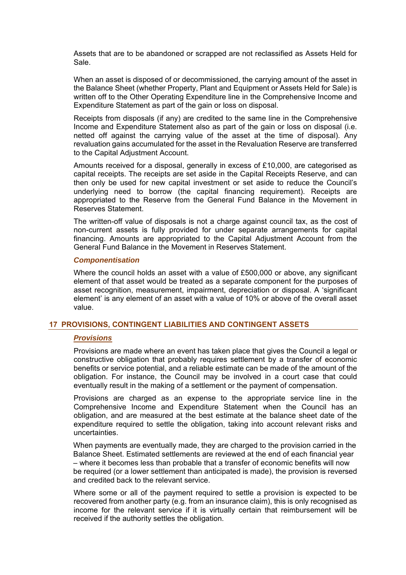Assets that are to be abandoned or scrapped are not reclassified as Assets Held for Sale.

When an asset is disposed of or decommissioned, the carrying amount of the asset in the Balance Sheet (whether Property, Plant and Equipment or Assets Held for Sale) is written off to the Other Operating Expenditure line in the Comprehensive Income and Expenditure Statement as part of the gain or loss on disposal.

Receipts from disposals (if any) are credited to the same line in the Comprehensive Income and Expenditure Statement also as part of the gain or loss on disposal (i.e. netted off against the carrying value of the asset at the time of disposal). Any revaluation gains accumulated for the asset in the Revaluation Reserve are transferred to the Capital Adjustment Account.

Amounts received for a disposal, generally in excess of £10,000, are categorised as capital receipts. The receipts are set aside in the Capital Receipts Reserve, and can then only be used for new capital investment or set aside to reduce the Council's underlying need to borrow (the capital financing requirement). Receipts are appropriated to the Reserve from the General Fund Balance in the Movement in Reserves Statement.

The written-off value of disposals is not a charge against council tax, as the cost of non-current assets is fully provided for under separate arrangements for capital financing. Amounts are appropriated to the Capital Adjustment Account from the General Fund Balance in the Movement in Reserves Statement.

#### *Componentisation*

Where the council holds an asset with a value of £500,000 or above, any significant element of that asset would be treated as a separate component for the purposes of asset recognition, measurement, impairment, depreciation or disposal. A 'significant element' is any element of an asset with a value of 10% or above of the overall asset value.

#### **17 PROVISIONS, CONTINGENT LIABILITIES AND CONTINGENT ASSETS**

#### *Provisions*

Provisions are made where an event has taken place that gives the Council a legal or constructive obligation that probably requires settlement by a transfer of economic benefits or service potential, and a reliable estimate can be made of the amount of the obligation. For instance, the Council may be involved in a court case that could eventually result in the making of a settlement or the payment of compensation.

Provisions are charged as an expense to the appropriate service line in the Comprehensive Income and Expenditure Statement when the Council has an obligation, and are measured at the best estimate at the balance sheet date of the expenditure required to settle the obligation, taking into account relevant risks and uncertainties.

When payments are eventually made, they are charged to the provision carried in the Balance Sheet. Estimated settlements are reviewed at the end of each financial year – where it becomes less than probable that a transfer of economic benefits will now be required (or a lower settlement than anticipated is made), the provision is reversed and credited back to the relevant service.

Where some or all of the payment required to settle a provision is expected to be recovered from another party (e.g. from an insurance claim), this is only recognised as income for the relevant service if it is virtually certain that reimbursement will be received if the authority settles the obligation.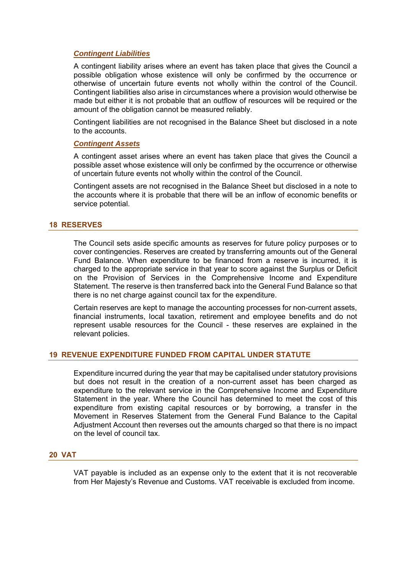# *Contingent Liabilities*

A contingent liability arises where an event has taken place that gives the Council a possible obligation whose existence will only be confirmed by the occurrence or otherwise of uncertain future events not wholly within the control of the Council. Contingent liabilities also arise in circumstances where a provision would otherwise be made but either it is not probable that an outflow of resources will be required or the amount of the obligation cannot be measured reliably.

Contingent liabilities are not recognised in the Balance Sheet but disclosed in a note to the accounts.

#### *Contingent Assets*

A contingent asset arises where an event has taken place that gives the Council a possible asset whose existence will only be confirmed by the occurrence or otherwise of uncertain future events not wholly within the control of the Council.

Contingent assets are not recognised in the Balance Sheet but disclosed in a note to the accounts where it is probable that there will be an inflow of economic benefits or service potential.

#### **18 RESERVES**

The Council sets aside specific amounts as reserves for future policy purposes or to cover contingencies. Reserves are created by transferring amounts out of the General Fund Balance. When expenditure to be financed from a reserve is incurred, it is charged to the appropriate service in that year to score against the Surplus or Deficit on the Provision of Services in the Comprehensive Income and Expenditure Statement. The reserve is then transferred back into the General Fund Balance so that there is no net charge against council tax for the expenditure.

Certain reserves are kept to manage the accounting processes for non-current assets, financial instruments, local taxation, retirement and employee benefits and do not represent usable resources for the Council - these reserves are explained in the relevant policies.

# **19 REVENUE EXPENDITURE FUNDED FROM CAPITAL UNDER STATUTE**

Expenditure incurred during the year that may be capitalised under statutory provisions but does not result in the creation of a non-current asset has been charged as expenditure to the relevant service in the Comprehensive Income and Expenditure Statement in the year. Where the Council has determined to meet the cost of this expenditure from existing capital resources or by borrowing, a transfer in the Movement in Reserves Statement from the General Fund Balance to the Capital Adjustment Account then reverses out the amounts charged so that there is no impact on the level of council tax.

#### **20 VAT**

VAT payable is included as an expense only to the extent that it is not recoverable from Her Majesty's Revenue and Customs. VAT receivable is excluded from income.